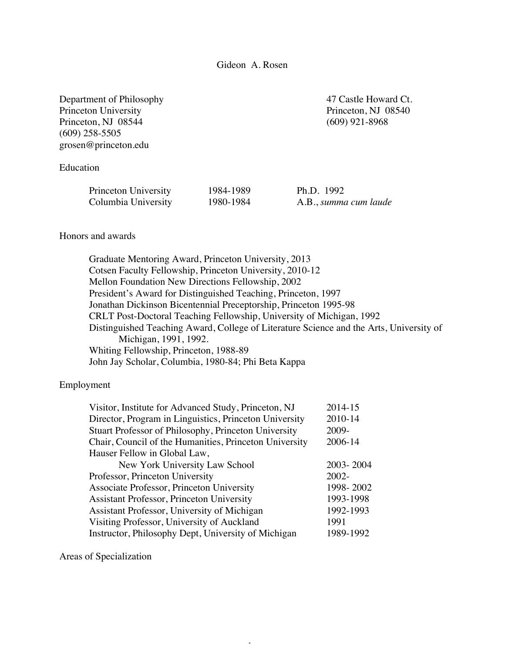Gideon A. Rosen

Department of Philosophy 47 Castle Howard Ct. Princeton University Princeton, NJ 08540 Princeton, NJ 08544 (609) 921-8968 (609) 258-5505 grosen@princeton.edu

# Education

| Princeton University | 1984-1989 | Ph.D. $1992$          |
|----------------------|-----------|-----------------------|
| Columbia University  | 1980-1984 | A.B., summa cum laude |

## Honors and awards

Graduate Mentoring Award, Princeton University, 2013 Cotsen Faculty Fellowship, Princeton University, 2010-12 Mellon Foundation New Directions Fellowship, 2002 President's Award for Distinguished Teaching, Princeton, 1997 Jonathan Dickinson Bicentennial Preceptorship, Princeton 1995-98 CRLT Post-Doctoral Teaching Fellowship, University of Michigan, 1992 Distinguished Teaching Award, College of Literature Science and the Arts, University of Michigan, 1991, 1992. Whiting Fellowship, Princeton, 1988-89 John Jay Scholar, Columbia, 1980-84; Phi Beta Kappa

### Employment

| 2014-15   |
|-----------|
| 2010-14   |
| 2009-     |
| 2006-14   |
|           |
| 2003-2004 |
| $2002 -$  |
| 1998-2002 |
| 1993-1998 |
| 1992-1993 |
| 1991      |
| 1989-1992 |
|           |

1

#### Areas of Specialization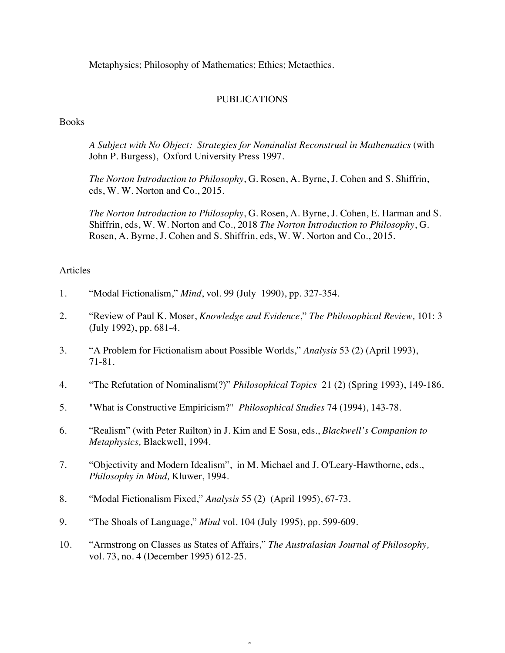Metaphysics; Philosophy of Mathematics; Ethics; Metaethics.

# PUBLICATIONS

**Books** 

*A Subject with No Object: Strategies for Nominalist Reconstrual in Mathematics* (with John P. Burgess), Oxford University Press 1997.

*The Norton Introduction to Philosophy*, G. Rosen, A. Byrne, J. Cohen and S. Shiffrin, eds, W. W. Norton and Co., 2015.

*The Norton Introduction to Philosophy*, G. Rosen, A. Byrne, J. Cohen, E. Harman and S. Shiffrin, eds, W. W. Norton and Co., 2018 *The Norton Introduction to Philosophy*, G. Rosen, A. Byrne, J. Cohen and S. Shiffrin, eds, W. W. Norton and Co., 2015.

## Articles

- 1. "Modal Fictionalism," *Mind*, vol. 99 (July 1990), pp. 327-354.
- 2. "Review of Paul K. Moser, *Knowledge and Evidence*," *The Philosophical Review,* 101: 3 (July 1992), pp. 681-4.
- 3. "A Problem for Fictionalism about Possible Worlds," *Analysis* 53 (2) (April 1993), 71-81.
- 4. "The Refutation of Nominalism(?)" *Philosophical Topics* 21 (2) (Spring 1993), 149-186.
- 5. "What is Constructive Empiricism?" *Philosophical Studies* 74 (1994), 143-78.
- 6. "Realism" (with Peter Railton) in J. Kim and E Sosa, eds., *Blackwell's Companion to Metaphysics,* Blackwell, 1994.
- 7. "Objectivity and Modern Idealism", in M. Michael and J. O'Leary-Hawthorne, eds., *Philosophy in Mind,* Kluwer, 1994.
- 8. "Modal Fictionalism Fixed," *Analysis* 55 (2) (April 1995), 67-73.
- 9. "The Shoals of Language," *Mind* vol. 104 (July 1995), pp. 599-609.
- 10. "Armstrong on Classes as States of Affairs," *The Australasian Journal of Philosophy,*  vol. 73, no. 4 (December 1995) 612-25.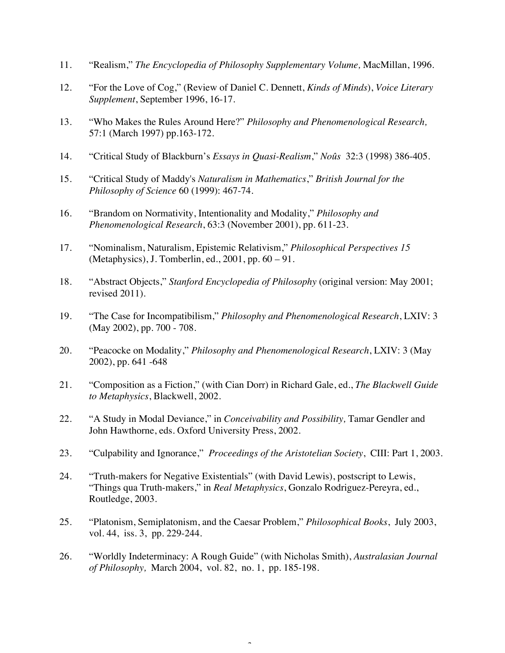- 11. "Realism," *The Encyclopedia of Philosophy Supplementary Volume,* MacMillan, 1996.
- 12. "For the Love of Cog," (Review of Daniel C. Dennett, *Kinds of Minds*), *Voice Literary Supplement*, September 1996, 16-17.
- 13. "Who Makes the Rules Around Here?" *Philosophy and Phenomenological Research,*  57:1 (March 1997) pp.163-172.
- 14. "Critical Study of Blackburn's *Essays in Quasi-Realism*," *Noûs* 32:3 (1998) 386-405.
- 15. "Critical Study of Maddy's *Naturalism in Mathematics*," *British Journal for the Philosophy of Science* 60 (1999): 467-74.
- 16. "Brandom on Normativity, Intentionality and Modality," *Philosophy and Phenomenological Research*, 63:3 (November 2001), pp. 611-23.
- 17. "Nominalism, Naturalism, Epistemic Relativism," *Philosophical Perspectives 15*  (Metaphysics), J. Tomberlin, ed., 2001, pp. 60 – 91.
- 18. "Abstract Objects," *Stanford Encyclopedia of Philosophy* (original version: May 2001; revised 2011).
- 19. "The Case for Incompatibilism," *Philosophy and Phenomenological Research*, LXIV: 3 (May 2002), pp. 700 - 708.
- 20. "Peacocke on Modality," *Philosophy and Phenomenological Research*, LXIV: 3 (May 2002), pp. 641 -648
- 21. "Composition as a Fiction," (with Cian Dorr) in Richard Gale, ed., *The Blackwell Guide to Metaphysics*, Blackwell, 2002.
- 22. "A Study in Modal Deviance," in *Conceivability and Possibility,* Tamar Gendler and John Hawthorne, eds. Oxford University Press, 2002.
- 23. "Culpability and Ignorance," *Proceedings of the Aristotelian Society*, CIII: Part 1, 2003.
- 24. "Truth-makers for Negative Existentials" (with David Lewis), postscript to Lewis, "Things qua Truth-makers," in *Real Metaphysics*, Gonzalo Rodriguez-Pereyra, ed., Routledge, 2003.
- 25. "Platonism, Semiplatonism, and the Caesar Problem," *Philosophical Books*, July 2003, vol. 44, iss. 3, pp. 229-244.
- 26. "Worldly Indeterminacy: A Rough Guide" (with Nicholas Smith), *Australasian Journal of Philosophy,* March 2004, vol. 82, no. 1, pp. 185-198.

î.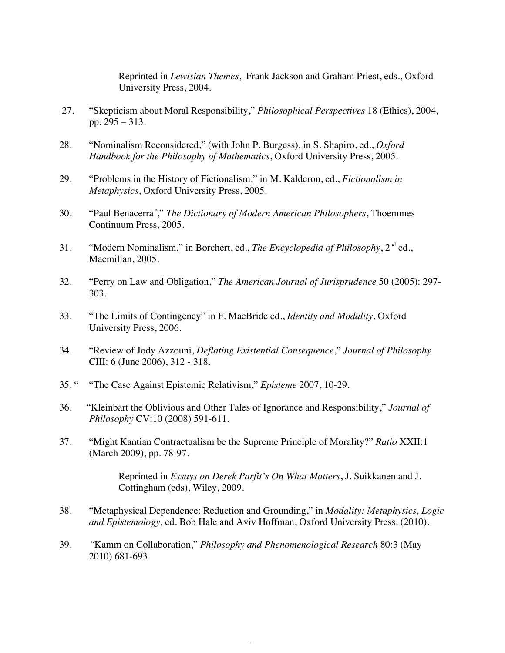Reprinted in *Lewisian Themes*, Frank Jackson and Graham Priest, eds., Oxford University Press, 2004.

- 27. "Skepticism about Moral Responsibility," *Philosophical Perspectives* 18 (Ethics), 2004, pp. 295 – 313.
- 28. "Nominalism Reconsidered," (with John P. Burgess), in S. Shapiro, ed., *Oxford Handbook for the Philosophy of Mathematics*, Oxford University Press, 2005*.*
- 29. "Problems in the History of Fictionalism," in M. Kalderon, ed., *Fictionalism in Metaphysics*, Oxford University Press, 2005.
- 30. "Paul Benacerraf," *The Dictionary of Modern American Philosophers*, Thoemmes Continuum Press, 2005.
- 31. "Modern Nominalism," in Borchert, ed., *The Encyclopedia of Philosophy*, 2nd ed., Macmillan, 2005.
- 32. "Perry on Law and Obligation," *The American Journal of Jurisprudence* 50 (2005): 297- 303.
- 33. "The Limits of Contingency" in F. MacBride ed., *Identity and Modality*, Oxford University Press, 2006.
- 34. "Review of Jody Azzouni, *Deflating Existential Consequence*," *Journal of Philosophy* CIII: 6 (June 2006), 312 - 318.
- 35. " "The Case Against Epistemic Relativism," *Episteme* 2007, 10-29.
- 36. "Kleinbart the Oblivious and Other Tales of Ignorance and Responsibility," *Journal of Philosophy* CV:10 (2008) 591-611.
- 37. "Might Kantian Contractualism be the Supreme Principle of Morality?" *Ratio* XXII:1 (March 2009), pp. 78-97.

Reprinted in *Essays on Derek Parfit's On What Matters*, J. Suikkanen and J. Cottingham (eds), Wiley, 2009.

38. "Metaphysical Dependence: Reduction and Grounding," in *Modality: Metaphysics, Logic and Epistemology,* ed. Bob Hale and Aviv Hoffman, Oxford University Press. (2010).

4

39. *"*Kamm on Collaboration," *Philosophy and Phenomenological Research* 80:3 (May 2010) 681-693*.*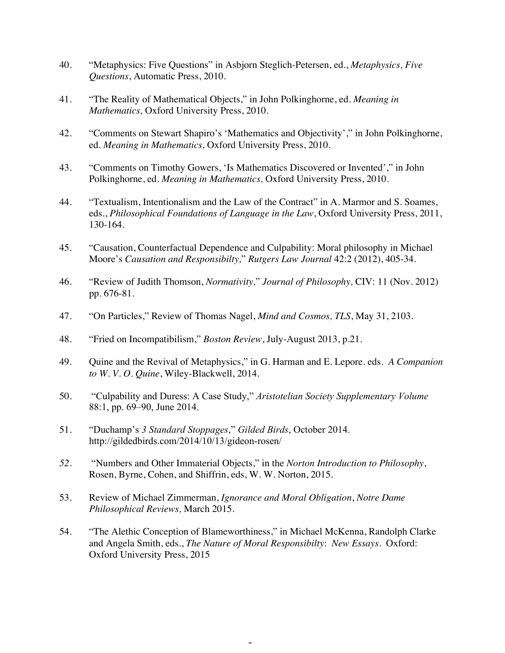- 40. "Metaphysics: Five Questions" in Asbjorn Steglich-Petersen, ed., *Metaphysics, Five Questions*, Automatic Press, 2010.
- 41. "The Reality of Mathematical Objects," in John Polkinghorne, ed. *Meaning in Mathematics,* Oxford University Press, 2010.
- 42. "Comments on Stewart Shapiro's 'Mathematics and Objectivity'," in John Polkinghorne, ed. *Meaning in Mathematics,* Oxford University Press, 2010.
- 43. "Comments on Timothy Gowers, 'Is Mathematics Discovered or Invented'," in John Polkinghorne, ed. *Meaning in Mathematics,* Oxford University Press, 2010.
- 44. "Textualism, Intentionalism and the Law of the Contract" in A. Marmor and S. Soames, eds., *Philosophical Foundations of Language in the Law*, Oxford University Press, 2011, 130-164.
- 45. "Causation, Counterfactual Dependence and Culpability: Moral philosophy in Michael Moore's *Causation and Responsibilty,*" *Rutgers Law Journal* 42:2 (2012), 405-34.
- 46. "Review of Judith Thomson, *Normativity,*" *Journal of Philosophy,* CIV: 11 (Nov. 2012) pp. 676-81.
- 47. "On Particles," Review of Thomas Nagel, *Mind and Cosmos, TLS*, May 31, 2103.
- 48. "Fried on Incompatibilism," *Boston Review*, July-August 2013, p.21.
- 49. Quine and the Revival of Metaphysics," in G. Harman and E. Lepore. eds. *A Companion to W. V. O. Quine*, Wiley-Blackwell, 2014.
- 50. "Culpability and Duress: A Case Study," *Aristotelian Society Supplementary Volume* 88:1, pp. 69–90, June 2014.
- 51. "Duchamp's *3 Standard Stoppages*," *Gilded Birds*, October 2014. http://gildedbirds.com/2014/10/13/gideon-rosen/
- *52.* "Numbers and Other Immaterial Objects," in the *Norton Introduction to Philosophy*, Rosen, Byrne, Cohen, and Shiffrin, eds, W. W. Norton, 2015*.*
- 53. Review of Michael Zimmerman, *Ignorance and Moral Obligation*, *Notre Dame Philosophical Reviews,* March 2015.
- 54. "The Alethic Conception of Blameworthiness," in Michael McKenna, Randolph Clarke and Angela Smith, eds., *The Nature of Moral Responsibilty*: *New Essays.* Oxford: Oxford University Press, 2015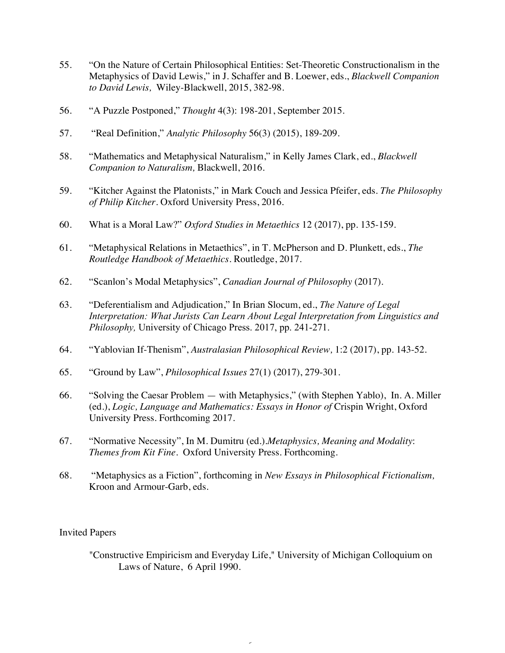- 55. "On the Nature of Certain Philosophical Entities: Set-Theoretic Constructionalism in the Metaphysics of David Lewis," in J. Schaffer and B. Loewer, eds., *Blackwell Companion to David Lewis,* Wiley-Blackwell, 2015, 382-98.
- 56. "A Puzzle Postponed," *Thought* 4(3): 198-201, September 2015.
- 57. "Real Definition," *Analytic Philosophy* 56(3) (2015), 189-209.
- 58. "Mathematics and Metaphysical Naturalism," in Kelly James Clark, ed., *Blackwell Companion to Naturalism,* Blackwell, 2016.
- 59. "Kitcher Against the Platonists," in Mark Couch and Jessica Pfeifer, eds. *The Philosophy of Philip Kitcher*. Oxford University Press, 2016.
- 60. What is a Moral Law?" *Oxford Studies in Metaethics* 12 (2017), pp. 135-159.
- 61. "Metaphysical Relations in Metaethics", in T. McPherson and D. Plunkett, eds., *The Routledge Handbook of Metaethics*. Routledge, 2017.
- 62. "Scanlon's Modal Metaphysics", *Canadian Journal of Philosophy* (2017).
- 63. "Deferentialism and Adjudication," In Brian Slocum, ed., *The Nature of Legal Interpretation: What Jurists Can Learn About Legal Interpretation from Linguistics and Philosophy,* University of Chicago Press. 2017, pp. 241-271.
- 64. "Yablovian If-Thenism", *Australasian Philosophical Review,* 1:2 (2017), pp. 143-52.
- 65. "Ground by Law", *Philosophical Issues* 27(1) (2017), 279-301.
- 66. "Solving the Caesar Problem with Metaphysics," (with Stephen Yablo), In. A. Miller (ed.), *Logic, Language and Mathematics: Essays in Honor of* Crispin Wright, Oxford University Press. Forthcoming 2017.
- 67. "Normative Necessity", In M. Dumitru (ed.).*Metaphysics, Meaning and Modality*: *Themes from Kit Fine.* Oxford University Press. Forthcoming.
- 68. "Metaphysics as a Fiction", forthcoming in *New Essays in Philosophical Fictionalism,*  Kroon and Armour-Garb, eds.

### Invited Papers

"Constructive Empiricism and Everyday Life," University of Michigan Colloquium on Laws of Nature, 6 April 1990.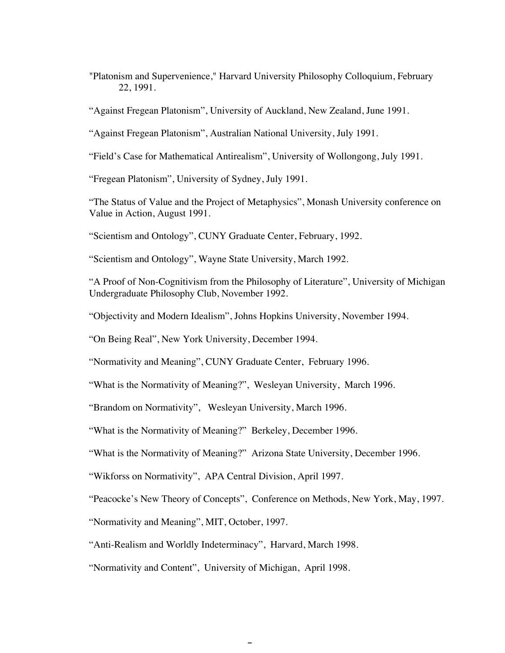"Platonism and Supervenience," Harvard University Philosophy Colloquium, February 22, 1991.

"Against Fregean Platonism", University of Auckland, New Zealand, June 1991.

"Against Fregean Platonism", Australian National University, July 1991.

"Field's Case for Mathematical Antirealism", University of Wollongong, July 1991.

"Fregean Platonism", University of Sydney, July 1991.

"The Status of Value and the Project of Metaphysics", Monash University conference on Value in Action, August 1991.

"Scientism and Ontology", CUNY Graduate Center, February, 1992.

"Scientism and Ontology", Wayne State University, March 1992.

"A Proof of Non-Cognitivism from the Philosophy of Literature", University of Michigan Undergraduate Philosophy Club, November 1992.

"Objectivity and Modern Idealism", Johns Hopkins University, November 1994.

"On Being Real", New York University, December 1994.

"Normativity and Meaning", CUNY Graduate Center, February 1996.

"What is the Normativity of Meaning?", Wesleyan University, March 1996.

"Brandom on Normativity", Wesleyan University, March 1996.

"What is the Normativity of Meaning?" Berkeley, December 1996.

"What is the Normativity of Meaning?" Arizona State University, December 1996.

"Wikforss on Normativity", APA Central Division, April 1997.

"Peacocke's New Theory of Concepts", Conference on Methods, New York, May, 1997.

"Normativity and Meaning", MIT, October, 1997.

"Anti-Realism and Worldly Indeterminacy", Harvard, March 1998.

"Normativity and Content", University of Michigan, April 1998.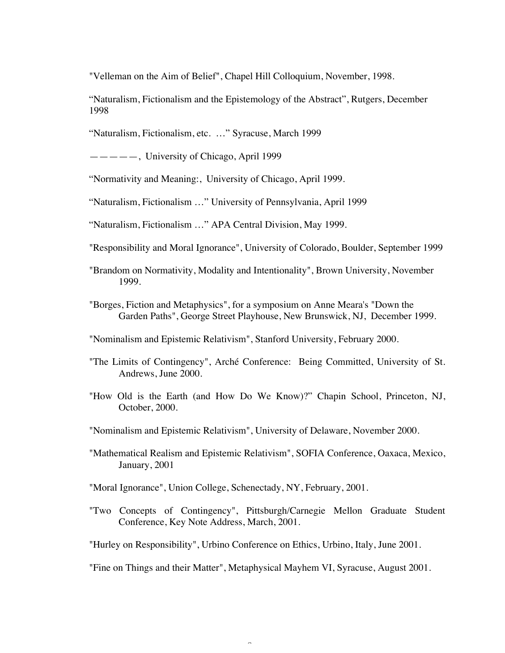"Velleman on the Aim of Belief", Chapel Hill Colloquium, November, 1998.

"Naturalism, Fictionalism and the Epistemology of the Abstract", Rutgers, December 1998

"Naturalism, Fictionalism, etc. …" Syracuse, March 1999

 $---$ , University of Chicago, April 1999

"Normativity and Meaning:, University of Chicago, April 1999.

"Naturalism, Fictionalism …" University of Pennsylvania, April 1999

"Naturalism, Fictionalism …" APA Central Division, May 1999.

"Responsibility and Moral Ignorance", University of Colorado, Boulder, September 1999

- "Brandom on Normativity, Modality and Intentionality", Brown University, November 1999.
- "Borges, Fiction and Metaphysics", for a symposium on Anne Meara's "Down the Garden Paths", George Street Playhouse, New Brunswick, NJ, December 1999.

"Nominalism and Epistemic Relativism", Stanford University, February 2000.

- "The Limits of Contingency", Arché Conference: Being Committed, University of St. Andrews, June 2000.
- "How Old is the Earth (and How Do We Know)?" Chapin School, Princeton, NJ, October, 2000.
- "Nominalism and Epistemic Relativism", University of Delaware, November 2000.
- "Mathematical Realism and Epistemic Relativism", SOFIA Conference, Oaxaca, Mexico, January, 2001
- "Moral Ignorance", Union College, Schenectady, NY, February, 2001.
- "Two Concepts of Contingency", Pittsburgh/Carnegie Mellon Graduate Student Conference, Key Note Address, March, 2001.

"Hurley on Responsibility", Urbino Conference on Ethics, Urbino, Italy, June 2001.

Î

"Fine on Things and their Matter", Metaphysical Mayhem VI, Syracuse, August 2001.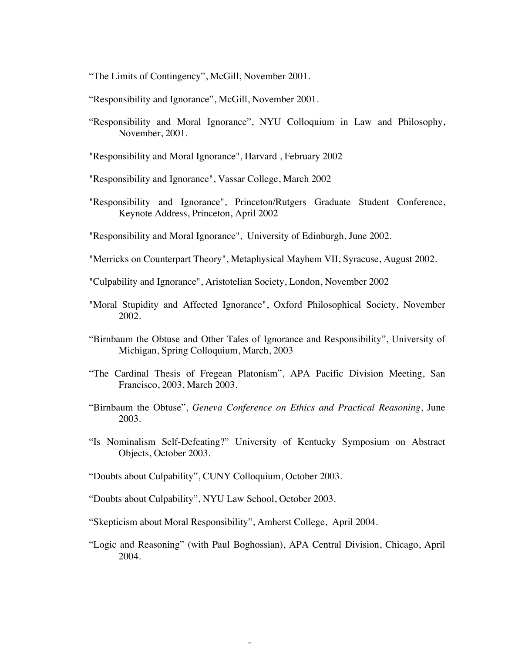"The Limits of Contingency", McGill, November 2001.

"Responsibility and Ignorance", McGill, November 2001.

"Responsibility and Moral Ignorance", NYU Colloquium in Law and Philosophy, November, 2001.

"Responsibility and Moral Ignorance", Harvard , February 2002

"Responsibility and Ignorance", Vassar College, March 2002

"Responsibility and Ignorance", Princeton/Rutgers Graduate Student Conference, Keynote Address, Princeton, April 2002

"Responsibility and Moral Ignorance", University of Edinburgh, June 2002.

"Merricks on Counterpart Theory", Metaphysical Mayhem VII, Syracuse, August 2002.

"Culpability and Ignorance", Aristotelian Society, London, November 2002

- "Moral Stupidity and Affected Ignorance", Oxford Philosophical Society, November 2002.
- "Birnbaum the Obtuse and Other Tales of Ignorance and Responsibility", University of Michigan, Spring Colloquium, March, 2003
- "The Cardinal Thesis of Fregean Platonism", APA Pacific Division Meeting, San Francisco, 2003, March 2003.
- "Birnbaum the Obtuse", *Geneva Conference on Ethics and Practical Reasoning*, June 2003.
- "Is Nominalism Self-Defeating?" University of Kentucky Symposium on Abstract Objects, October 2003.
- "Doubts about Culpability", CUNY Colloquium, October 2003.
- "Doubts about Culpability", NYU Law School, October 2003.
- "Skepticism about Moral Responsibility", Amherst College, April 2004.
- "Logic and Reasoning" (with Paul Boghossian), APA Central Division, Chicago, April 2004.

 $\tilde{z}$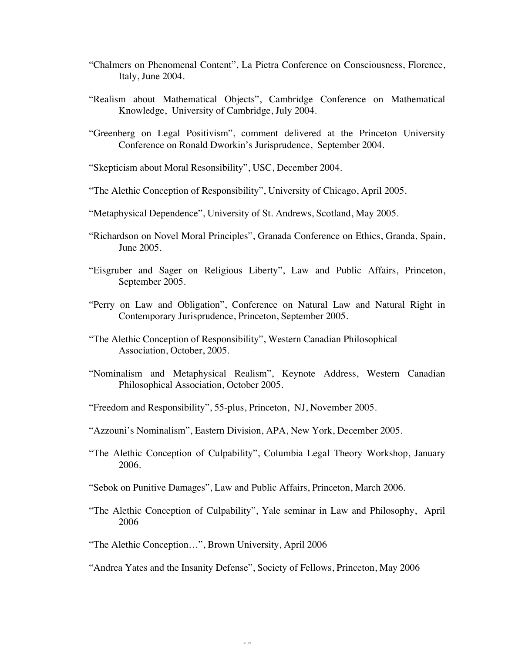- "Chalmers on Phenomenal Content", La Pietra Conference on Consciousness, Florence, Italy, June 2004.
- "Realism about Mathematical Objects", Cambridge Conference on Mathematical Knowledge, University of Cambridge, July 2004.
- "Greenberg on Legal Positivism", comment delivered at the Princeton University Conference on Ronald Dworkin's Jurisprudence, September 2004.
- "Skepticism about Moral Resonsibility", USC, December 2004.
- "The Alethic Conception of Responsibility", University of Chicago, April 2005.
- "Metaphysical Dependence", University of St. Andrews, Scotland, May 2005.
- "Richardson on Novel Moral Principles", Granada Conference on Ethics, Granda, Spain, June 2005.
- "Eisgruber and Sager on Religious Liberty", Law and Public Affairs, Princeton, September 2005.
- "Perry on Law and Obligation", Conference on Natural Law and Natural Right in Contemporary Jurisprudence, Princeton, September 2005.
- "The Alethic Conception of Responsibility", Western Canadian Philosophical Association, October, 2005.
- "Nominalism and Metaphysical Realism", Keynote Address, Western Canadian Philosophical Association, October 2005.
- "Freedom and Responsibility", 55-plus, Princeton, NJ, November 2005.
- "Azzouni's Nominalism", Eastern Division, APA, New York, December 2005.
- "The Alethic Conception of Culpability", Columbia Legal Theory Workshop, January 2006.
- "Sebok on Punitive Damages", Law and Public Affairs, Princeton, March 2006.
- "The Alethic Conception of Culpability", Yale seminar in Law and Philosophy, April 2006
- "The Alethic Conception…", Brown University, April 2006
- "Andrea Yates and the Insanity Defense", Society of Fellows, Princeton, May 2006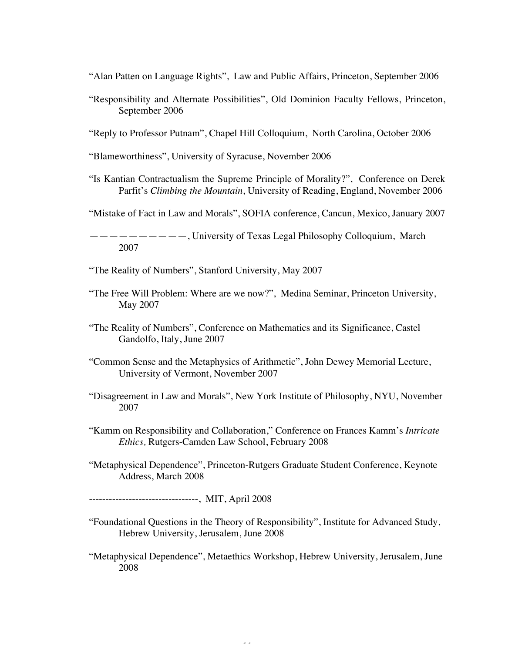"Alan Patten on Language Rights", Law and Public Affairs, Princeton, September 2006

- "Responsibility and Alternate Possibilities", Old Dominion Faculty Fellows, Princeton, September 2006
- "Reply to Professor Putnam", Chapel Hill Colloquium, North Carolina, October 2006

"Blameworthiness", University of Syracuse, November 2006

"Is Kantian Contractualism the Supreme Principle of Morality?", Conference on Derek Parfit's *Climbing the Mountain*, University of Reading, England, November 2006

"Mistake of Fact in Law and Morals", SOFIA conference, Cancun, Mexico, January 2007

——————————, University of Texas Legal Philosophy Colloquium, March 2007

"The Reality of Numbers", Stanford University, May 2007

- "The Free Will Problem: Where are we now?", Medina Seminar, Princeton University, May 2007
- "The Reality of Numbers", Conference on Mathematics and its Significance, Castel Gandolfo, Italy, June 2007
- "Common Sense and the Metaphysics of Arithmetic", John Dewey Memorial Lecture, University of Vermont, November 2007
- "Disagreement in Law and Morals", New York Institute of Philosophy, NYU, November 2007
- "Kamm on Responsibility and Collaboration," Conference on Frances Kamm's *Intricate Ethics,* Rutgers-Camden Law School, February 2008
- "Metaphysical Dependence", Princeton-Rutgers Graduate Student Conference, Keynote Address, March 2008
- ---------------------------------, MIT, April 2008
- "Foundational Questions in the Theory of Responsibility", Institute for Advanced Study, Hebrew University, Jerusalem, June 2008
- "Metaphysical Dependence", Metaethics Workshop, Hebrew University, Jerusalem, June 2008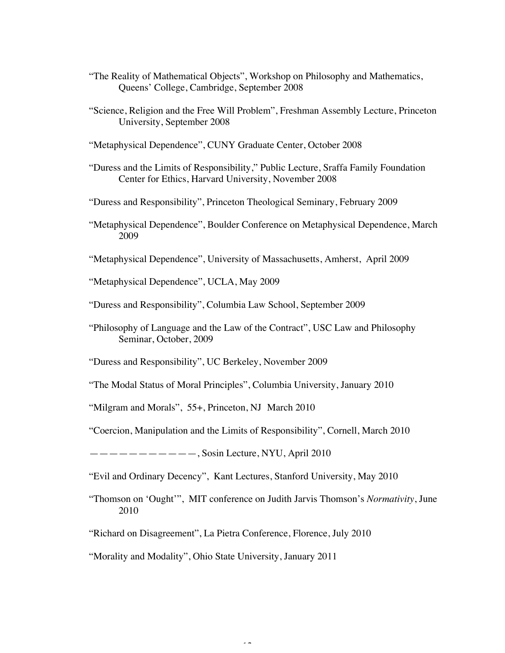- "The Reality of Mathematical Objects", Workshop on Philosophy and Mathematics, Queens' College, Cambridge, September 2008
- "Science, Religion and the Free Will Problem", Freshman Assembly Lecture, Princeton University, September 2008
- "Metaphysical Dependence", CUNY Graduate Center, October 2008
- "Duress and the Limits of Responsibility," Public Lecture, Sraffa Family Foundation Center for Ethics, Harvard University, November 2008
- "Duress and Responsibility", Princeton Theological Seminary, February 2009
- "Metaphysical Dependence", Boulder Conference on Metaphysical Dependence, March 2009
- "Metaphysical Dependence", University of Massachusetts, Amherst, April 2009
- "Metaphysical Dependence", UCLA, May 2009
- "Duress and Responsibility", Columbia Law School, September 2009
- "Philosophy of Language and the Law of the Contract", USC Law and Philosophy Seminar, October, 2009
- "Duress and Responsibility", UC Berkeley, November 2009
- "The Modal Status of Moral Principles", Columbia University, January 2010
- "Milgram and Morals", 55+, Princeton, NJ March 2010
- "Coercion, Manipulation and the Limits of Responsibility", Cornell, March 2010

 $------$ , Sosin Lecture, NYU, April 2010

"Evil and Ordinary Decency", Kant Lectures, Stanford University, May 2010

- "Thomson on 'Ought'", MIT conference on Judith Jarvis Thomson's *Normativity*, June 2010
- "Richard on Disagreement", La Pietra Conference, Florence, July 2010
- "Morality and Modality", Ohio State University, January 2011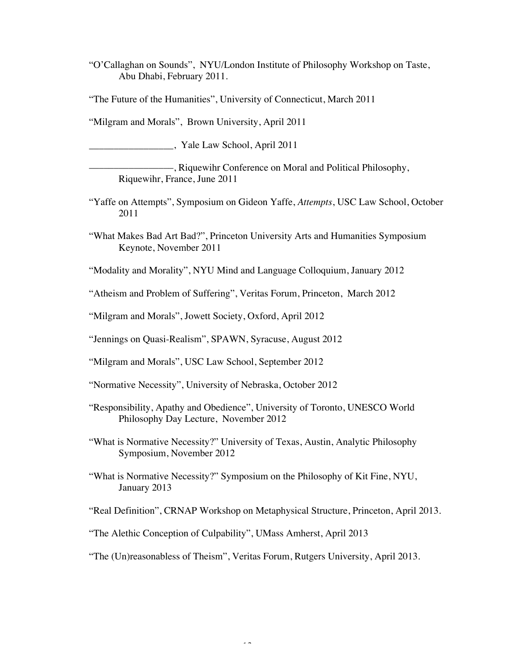"O'Callaghan on Sounds", NYU/London Institute of Philosophy Workshop on Taste, Abu Dhabi, February 2011.

"The Future of the Humanities", University of Connecticut, March 2011

"Milgram and Morals", Brown University, April 2011

\_\_\_\_\_\_\_\_\_\_\_\_\_\_\_\_\_, Yale Law School, April 2011

—–––, Riquewihr Conference on Moral and Political Philosophy, Riquewihr, France, June 2011

- "Yaffe on Attempts", Symposium on Gideon Yaffe, *Attempts*, USC Law School, October 2011
- "What Makes Bad Art Bad?", Princeton University Arts and Humanities Symposium Keynote, November 2011

"Modality and Morality", NYU Mind and Language Colloquium, January 2012

"Atheism and Problem of Suffering", Veritas Forum, Princeton, March 2012

"Milgram and Morals", Jowett Society, Oxford, April 2012

"Jennings on Quasi-Realism", SPAWN, Syracuse, August 2012

"Milgram and Morals", USC Law School, September 2012

"Normative Necessity", University of Nebraska, October 2012

- "Responsibility, Apathy and Obedience", University of Toronto, UNESCO World Philosophy Day Lecture, November 2012
- "What is Normative Necessity?" University of Texas, Austin, Analytic Philosophy Symposium, November 2012
- "What is Normative Necessity?" Symposium on the Philosophy of Kit Fine, NYU, January 2013

"Real Definition", CRNAP Workshop on Metaphysical Structure, Princeton, April 2013.

"The Alethic Conception of Culpability", UMass Amherst, April 2013

"The (Un)reasonabless of Theism", Veritas Forum, Rutgers University, April 2013.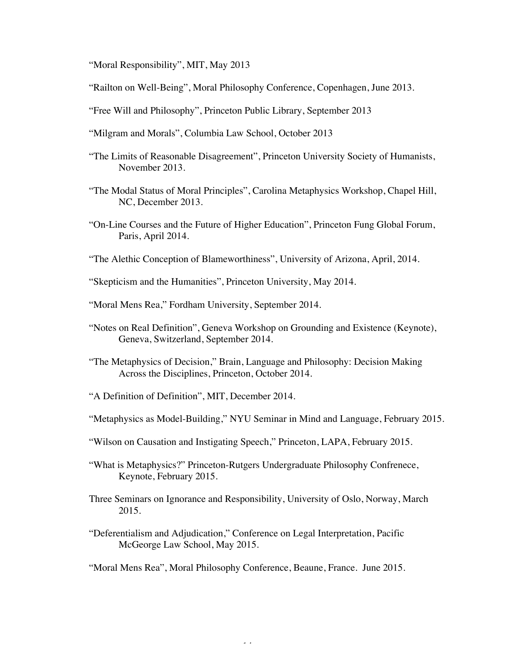"Moral Responsibility", MIT, May 2013

- "Railton on Well-Being", Moral Philosophy Conference, Copenhagen, June 2013.
- "Free Will and Philosophy", Princeton Public Library, September 2013
- "Milgram and Morals", Columbia Law School, October 2013
- "The Limits of Reasonable Disagreement", Princeton University Society of Humanists, November 2013.
- "The Modal Status of Moral Principles", Carolina Metaphysics Workshop, Chapel Hill, NC, December 2013.
- "On-Line Courses and the Future of Higher Education", Princeton Fung Global Forum, Paris, April 2014.
- "The Alethic Conception of Blameworthiness", University of Arizona, April, 2014.
- "Skepticism and the Humanities", Princeton University, May 2014.
- "Moral Mens Rea," Fordham University, September 2014.
- "Notes on Real Definition", Geneva Workshop on Grounding and Existence (Keynote), Geneva, Switzerland, September 2014.
- "The Metaphysics of Decision," Brain, Language and Philosophy: Decision Making Across the Disciplines, Princeton, October 2014.
- "A Definition of Definition", MIT, December 2014.
- "Metaphysics as Model-Building," NYU Seminar in Mind and Language, February 2015.
- "Wilson on Causation and Instigating Speech," Princeton, LAPA, February 2015.
- "What is Metaphysics?" Princeton-Rutgers Undergraduate Philosophy Confrenece, Keynote, February 2015.
- Three Seminars on Ignorance and Responsibility, University of Oslo, Norway, March 2015.
- "Deferentialism and Adjudication," Conference on Legal Interpretation, Pacific McGeorge Law School, May 2015.

"Moral Mens Rea", Moral Philosophy Conference, Beaune, France. June 2015.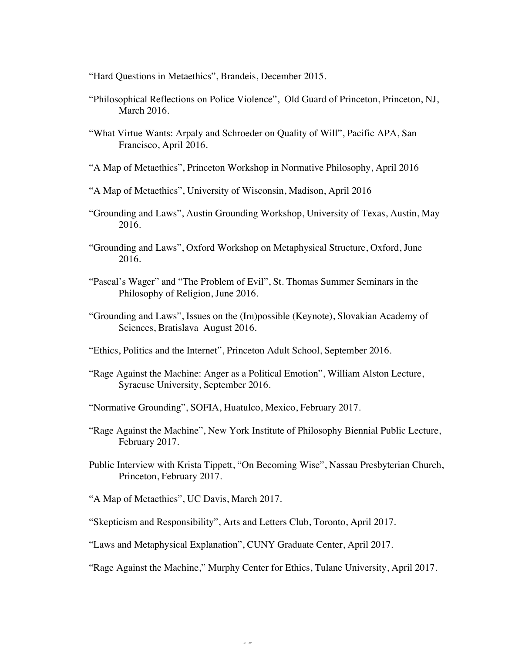"Hard Questions in Metaethics", Brandeis, December 2015.

- "Philosophical Reflections on Police Violence", Old Guard of Princeton, Princeton, NJ, March 2016.
- "What Virtue Wants: Arpaly and Schroeder on Quality of Will", Pacific APA, San Francisco, April 2016.
- "A Map of Metaethics", Princeton Workshop in Normative Philosophy, April 2016
- "A Map of Metaethics", University of Wisconsin, Madison, April 2016
- "Grounding and Laws", Austin Grounding Workshop, University of Texas, Austin, May 2016.
- "Grounding and Laws", Oxford Workshop on Metaphysical Structure, Oxford, June 2016.
- "Pascal's Wager" and "The Problem of Evil", St. Thomas Summer Seminars in the Philosophy of Religion, June 2016.
- "Grounding and Laws", Issues on the (Im)possible (Keynote), Slovakian Academy of Sciences, Bratislava August 2016.
- "Ethics, Politics and the Internet", Princeton Adult School, September 2016.
- "Rage Against the Machine: Anger as a Political Emotion", William Alston Lecture, Syracuse University, September 2016.
- "Normative Grounding", SOFIA, Huatulco, Mexico, February 2017.
- "Rage Against the Machine", New York Institute of Philosophy Biennial Public Lecture, February 2017.
- Public Interview with Krista Tippett, "On Becoming Wise", Nassau Presbyterian Church, Princeton, February 2017.
- "A Map of Metaethics", UC Davis, March 2017.
- "Skepticism and Responsibility", Arts and Letters Club, Toronto, April 2017.
- "Laws and Metaphysical Explanation", CUNY Graduate Center, April 2017.
- "Rage Against the Machine," Murphy Center for Ethics, Tulane University, April 2017.